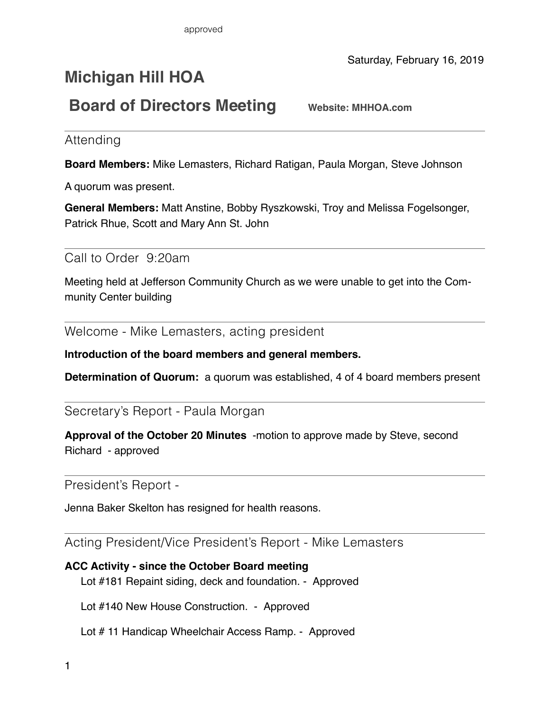# **Michigan Hill HOA**

## **Board of Directors Meeting** Website: MHHOA.com

## Attending

**Board Members:** Mike Lemasters, Richard Ratigan, Paula Morgan, Steve Johnson

A quorum was present.

**General Members:** Matt Anstine, Bobby Ryszkowski, Troy and Melissa Fogelsonger, Patrick Rhue, Scott and Mary Ann St. John

Call to Order 9:20am

Meeting held at Jefferson Community Church as we were unable to get into the Community Center building

Welcome - Mike Lemasters, acting president

**Introduction of the board members and general members.**

**Determination of Quorum:** a quorum was established, 4 of 4 board members present

Secretary's Report - Paula Morgan

**Approval of the October 20 Minutes** -motion to approve made by Steve, second Richard - approved

President's Report -

Jenna Baker Skelton has resigned for health reasons.

Acting President/Vice President's Report - Mike Lemasters

#### **ACC Activity - since the October Board meeting**

Lot #181 Repaint siding, deck and foundation. - Approved

Lot #140 New House Construction. - Approved

Lot # 11 Handicap Wheelchair Access Ramp. - Approved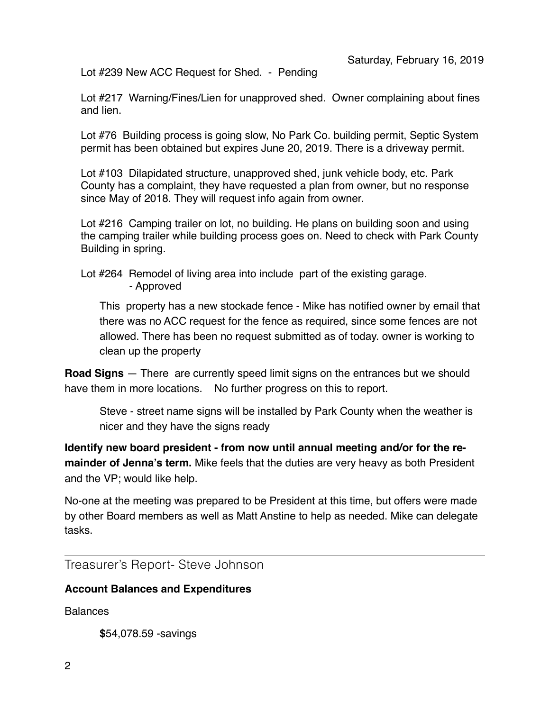Lot #239 New ACC Request for Shed. - Pending

Lot #217 Warning/Fines/Lien for unapproved shed. Owner complaining about fines and lien.

Lot #76 Building process is going slow, No Park Co. building permit, Septic System permit has been obtained but expires June 20, 2019. There is a driveway permit.

Lot #103 Dilapidated structure, unapproved shed, junk vehicle body, etc. Park County has a complaint, they have requested a plan from owner, but no response since May of 2018. They will request info again from owner.

Lot #216 Camping trailer on lot, no building. He plans on building soon and using the camping trailer while building process goes on. Need to check with Park County Building in spring.

Lot #264 Remodel of living area into include part of the existing garage. - Approved

This property has a new stockade fence - Mike has notified owner by email that there was no ACC request for the fence as required, since some fences are not allowed. There has been no request submitted as of today. owner is working to clean up the property

**Road Signs** — There are currently speed limit signs on the entrances but we should have them in more locations. No further progress on this to report.

Steve - street name signs will be installed by Park County when the weather is nicer and they have the signs ready

**Identify new board president - from now until annual meeting and/or for the remainder of Jenna's term.** Mike feels that the duties are very heavy as both President and the VP; would like help.

No-one at the meeting was prepared to be President at this time, but offers were made by other Board members as well as Matt Anstine to help as needed. Mike can delegate tasks.

Treasurer's Report- Steve Johnson

#### **Account Balances and Expenditures**

Balances

**\$**54,078.59 -savings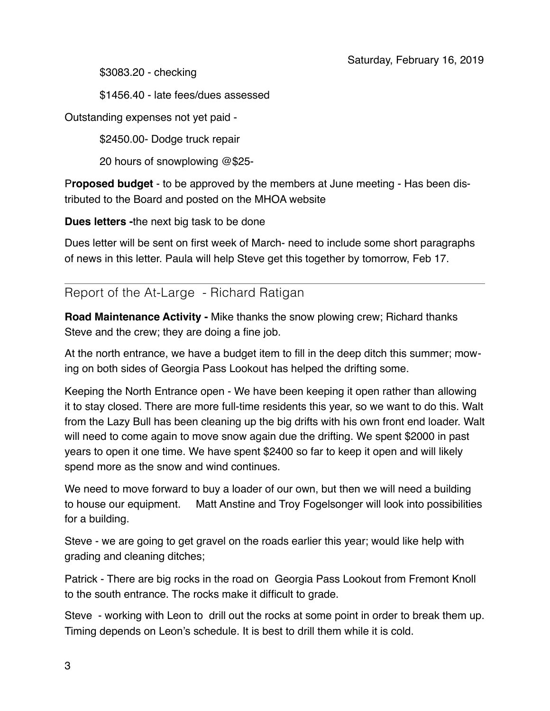\$3083.20 - checking

\$1456.40 - late fees/dues assessed

Outstanding expenses not yet paid -

\$2450.00- Dodge truck repair

20 hours of snowplowing @\$25-

P**roposed budget** - to be approved by the members at June meeting - Has been distributed to the Board and posted on the MHOA website

**Dues letters -**the next big task to be done

Dues letter will be sent on first week of March- need to include some short paragraphs of news in this letter. Paula will help Steve get this together by tomorrow, Feb 17.

## Report of the At-Large - Richard Ratigan

**Road Maintenance Activity -** Mike thanks the snow plowing crew; Richard thanks Steve and the crew; they are doing a fine job.

At the north entrance, we have a budget item to fill in the deep ditch this summer; mowing on both sides of Georgia Pass Lookout has helped the drifting some.

Keeping the North Entrance open - We have been keeping it open rather than allowing it to stay closed. There are more full-time residents this year, so we want to do this. Walt from the Lazy Bull has been cleaning up the big drifts with his own front end loader. Walt will need to come again to move snow again due the drifting. We spent \$2000 in past years to open it one time. We have spent \$2400 so far to keep it open and will likely spend more as the snow and wind continues.

We need to move forward to buy a loader of our own, but then we will need a building to house our equipment. Matt Anstine and Troy Fogelsonger will look into possibilities for a building.

Steve - we are going to get gravel on the roads earlier this year; would like help with grading and cleaning ditches;

Patrick - There are big rocks in the road on Georgia Pass Lookout from Fremont Knoll to the south entrance. The rocks make it difficult to grade.

Steve - working with Leon to drill out the rocks at some point in order to break them up. Timing depends on Leon's schedule. It is best to drill them while it is cold.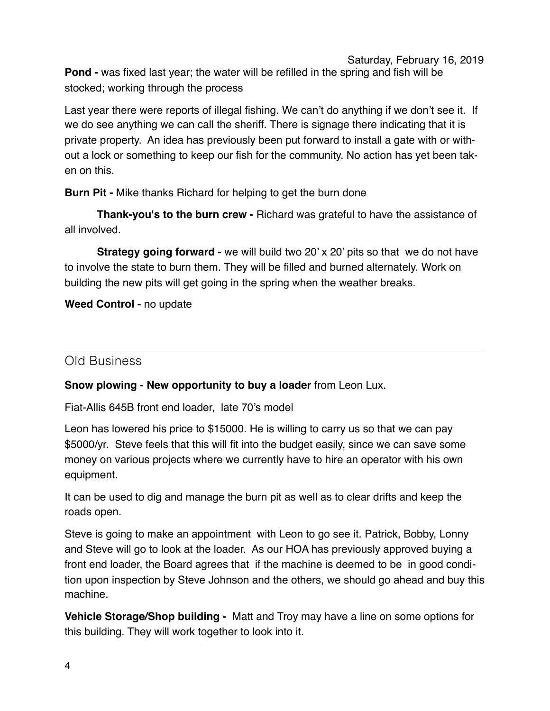**Pond -** was fixed last year; the water will be refilled in the spring and fish will be stocked; working through the process

Last year there were reports of illegal fishing. We can't do anything if we don't see it. If we do see anything we can call the sheriff. There is signage there indicating that it is private property. An idea has previously been put forward to install a gate with or without a lock or something to keep our fish for the community. No action has yet been taken on this.

**Burn Pit -** Mike thanks Richard for helping to get the burn done

**Thank-you's to the burn crew -** Richard was grateful to have the assistance of all involved.

**Strategy going forward -** we will build two 20' x 20' pits so that we do not have to involve the state to burn them. They will be filled and burned alternately. Work on building the new pits will get going in the spring when the weather breaks.

**Weed Control -** no update

## Old Business

**Snow plowing - New opportunity to buy a loader** from Leon Lux.

Fiat-Allis 645B front end loader, late 70's model

Leon has lowered his price to \$15000. He is willing to carry us so that we can pay \$5000/yr. Steve feels that this will fit into the budget easily, since we can save some money on various projects where we currently have to hire an operator with his own equipment.

It can be used to dig and manage the burn pit as well as to clear drifts and keep the roads open.

Steve is going to make an appointment with Leon to go see it. Patrick, Bobby, Lonny and Steve will go to look at the loader. As our HOA has previously approved buying a front end loader, the Board agrees that if the machine is deemed to be in good condition upon inspection by Steve Johnson and the others, we should go ahead and buy this machine.

**Vehicle Storage/Shop building -** Matt and Troy may have a line on some options for this building. They will work together to look into it.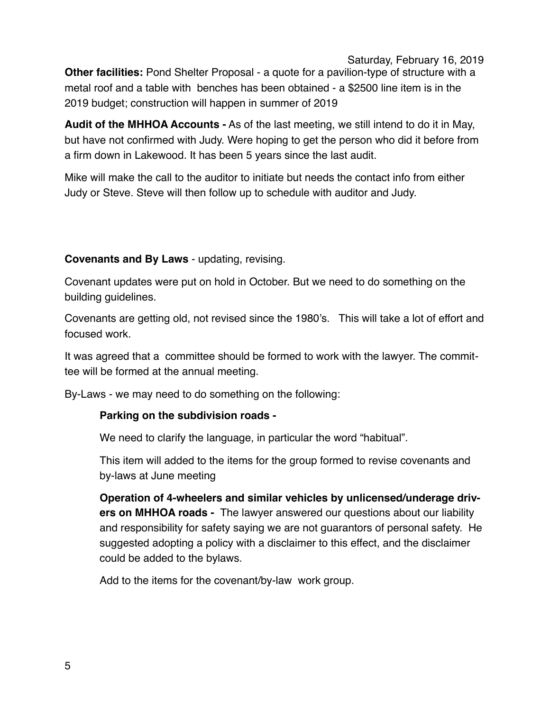**Other facilities:** Pond Shelter Proposal - a quote for a pavilion-type of structure with a metal roof and a table with benches has been obtained - a \$2500 line item is in the 2019 budget; construction will happen in summer of 2019

**Audit of the MHHOA Accounts -** As of the last meeting, we still intend to do it in May, but have not confirmed with Judy. Were hoping to get the person who did it before from a firm down in Lakewood. It has been 5 years since the last audit.

Mike will make the call to the auditor to initiate but needs the contact info from either Judy or Steve. Steve will then follow up to schedule with auditor and Judy.

#### **Covenants and By Laws** - updating, revising.

Covenant updates were put on hold in October. But we need to do something on the building guidelines.

Covenants are getting old, not revised since the 1980's. This will take a lot of effort and focused work.

It was agreed that a committee should be formed to work with the lawyer. The committee will be formed at the annual meeting.

By-Laws - we may need to do something on the following:

#### **Parking on the subdivision roads -**

We need to clarify the language, in particular the word "habitual".

This item will added to the items for the group formed to revise covenants and by-laws at June meeting

**Operation of 4-wheelers and similar vehicles by unlicensed/underage drivers on MHHOA roads -** The lawyer answered our questions about our liability and responsibility for safety saying we are not guarantors of personal safety. He suggested adopting a policy with a disclaimer to this effect, and the disclaimer could be added to the bylaws.

Add to the items for the covenant/by-law work group.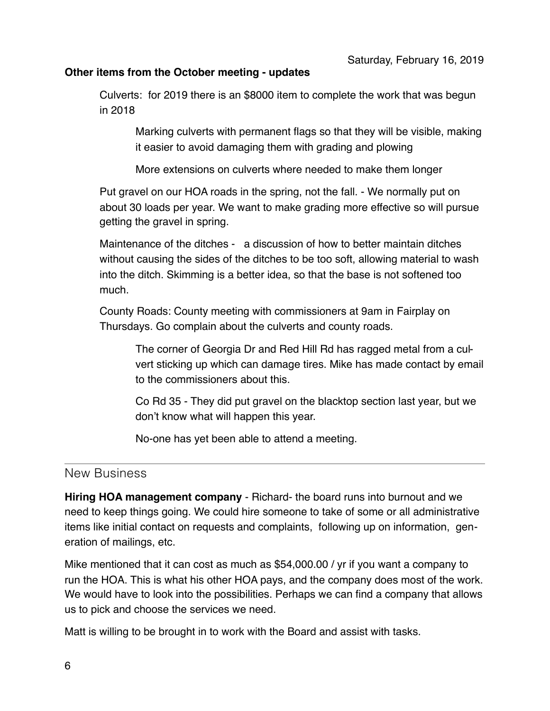#### **Other items from the October meeting - updates**

Culverts: for 2019 there is an \$8000 item to complete the work that was begun in 2018

Marking culverts with permanent flags so that they will be visible, making it easier to avoid damaging them with grading and plowing

More extensions on culverts where needed to make them longer

Put gravel on our HOA roads in the spring, not the fall. - We normally put on about 30 loads per year. We want to make grading more effective so will pursue getting the gravel in spring.

Maintenance of the ditches - a discussion of how to better maintain ditches without causing the sides of the ditches to be too soft, allowing material to wash into the ditch. Skimming is a better idea, so that the base is not softened too much.

County Roads: County meeting with commissioners at 9am in Fairplay on Thursdays. Go complain about the culverts and county roads.

> The corner of Georgia Dr and Red Hill Rd has ragged metal from a culvert sticking up which can damage tires. Mike has made contact by email to the commissioners about this.

Co Rd 35 - They did put gravel on the blacktop section last year, but we don't know what will happen this year.

No-one has yet been able to attend a meeting.

#### New Business

**Hiring HOA management company** - Richard- the board runs into burnout and we need to keep things going. We could hire someone to take of some or all administrative items like initial contact on requests and complaints, following up on information, generation of mailings, etc.

Mike mentioned that it can cost as much as \$54,000.00 / yr if you want a company to run the HOA. This is what his other HOA pays, and the company does most of the work. We would have to look into the possibilities. Perhaps we can find a company that allows us to pick and choose the services we need.

Matt is willing to be brought in to work with the Board and assist with tasks.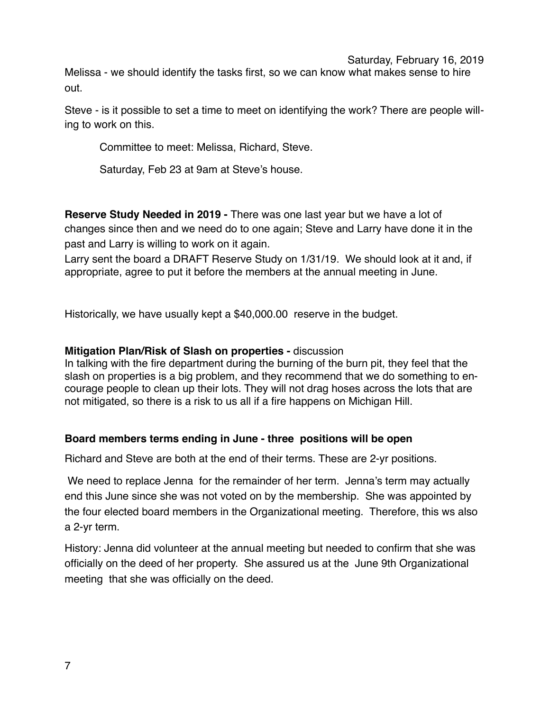Melissa - we should identify the tasks first, so we can know what makes sense to hire out.

Steve - is it possible to set a time to meet on identifying the work? There are people willing to work on this.

Committee to meet: Melissa, Richard, Steve.

Saturday, Feb 23 at 9am at Steve's house.

**Reserve Study Needed in 2019 -** There was one last year but we have a lot of changes since then and we need do to one again; Steve and Larry have done it in the past and Larry is willing to work on it again.

Larry sent the board a DRAFT Reserve Study on 1/31/19. We should look at it and, if appropriate, agree to put it before the members at the annual meeting in June.

Historically, we have usually kept a \$40,000.00 reserve in the budget.

#### **Mitigation Plan/Risk of Slash on properties -** discussion

In talking with the fire department during the burning of the burn pit, they feel that the slash on properties is a big problem, and they recommend that we do something to encourage people to clean up their lots. They will not drag hoses across the lots that are not mitigated, so there is a risk to us all if a fire happens on Michigan Hill.

#### **Board members terms ending in June - three positions will be open**

Richard and Steve are both at the end of their terms. These are 2-yr positions.

 We need to replace Jenna for the remainder of her term. Jenna's term may actually end this June since she was not voted on by the membership. She was appointed by the four elected board members in the Organizational meeting. Therefore, this ws also a 2-yr term.

History: Jenna did volunteer at the annual meeting but needed to confirm that she was officially on the deed of her property. She assured us at the June 9th Organizational meeting that she was officially on the deed.